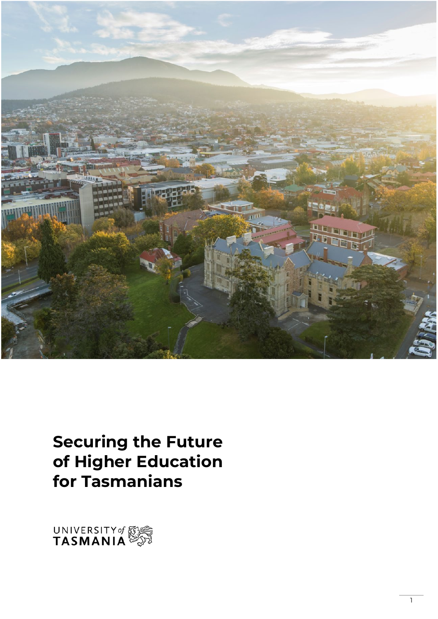

# **Securing the Future of Higher Education for Tasmanians**

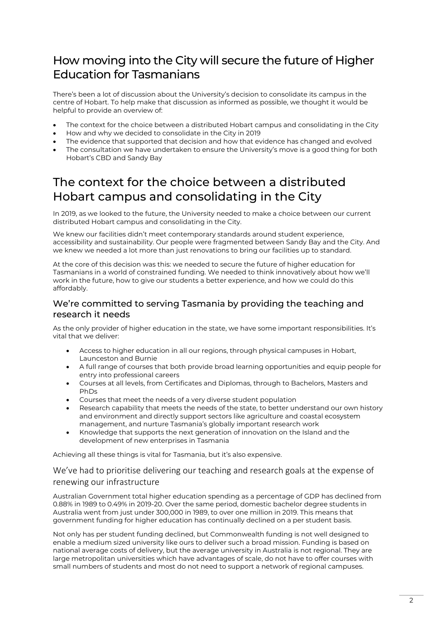# How moving into the City will secure the future of Higher Education for Tasmanians

There's been a lot of discussion about the University's decision to consolidate its campus in the centre of Hobart. To help make that discussion as informed as possible, we thought it would be helpful to provide an overview of:

- The context for the choice between a distributed Hobart campus and consolidating in the City
- How and why we decided to consolidate in the City in 2019
- The evidence that supported that decision and how that evidence has changed and evolved
- The consultation we have undertaken to ensure the University's move is a good thing for both Hobart's CBD and Sandy Bay

# The context for the choice between a distributed Hobart campus and consolidating in the City

In 2019, as we looked to the future, the University needed to make a choice between our current distributed Hobart campus and consolidating in the City.

We knew our facilities didn't meet contemporary standards around student experience, accessibility and sustainability. Our people were fragmented between Sandy Bay and the City. And we knew we needed a lot more than just renovations to bring our facilities up to standard.

At the core of this decision was this: we needed to secure the future of higher education for Tasmanians in a world of constrained funding. We needed to think innovatively about how we'll work in the future, how to give our students a better experience, and how we could do this affordably.

#### We're committed to serving Tasmania by providing the teaching and research it needs

As the only provider of higher education in the state, we have some important responsibilities. It's vital that we deliver:

- Access to higher education in all our regions, through physical campuses in Hobart, Launceston and Burnie
- A full range of courses that both provide broad learning opportunities and equip people for entry into professional careers
- Courses at all levels, from Certificates and Diplomas, through to Bachelors, Masters and PhDs
- Courses that meet the needs of a very diverse student population
- Research capability that meets the needs of the state, to better understand our own history and environment and directly support sectors like agriculture and coastal ecosystem management, and nurture Tasmania's globally important research work
- Knowledge that supports the next generation of innovation on the Island and the development of new enterprises in Tasmania

Achieving all these things is vital for Tasmania, but it's also expensive.

#### We've had to prioritise delivering our teaching and research goals at the expense of renewing our infrastructure

Australian Government total higher education spending as a percentage of GDP has declined from 0.88% in 1989 to 0.49% in 2019-20. Over the same period, domestic bachelor degree students in Australia went from just under 300,000 in 1989, to over one million in 2019. This means that government funding for higher education has continually declined on a per student basis.

Not only has per student funding declined, but Commonwealth funding is not well designed to enable a medium sized university like ours to deliver such a broad mission. Funding is based on national average costs of delivery, but the average university in Australia is not regional. They are large metropolitan universities which have advantages of scale, do not have to offer courses with small numbers of students and most do not need to support a network of regional campuses.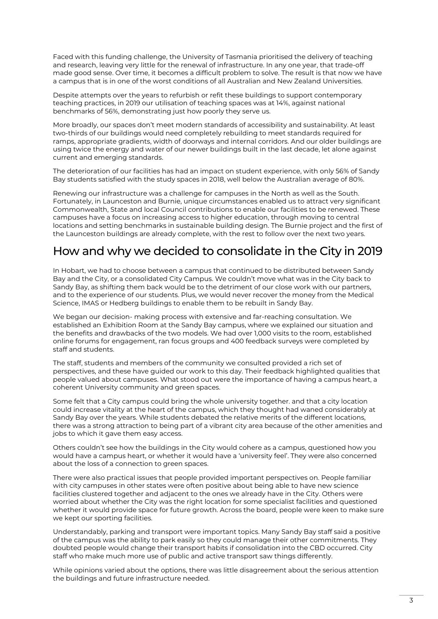Faced with this funding challenge, the University of Tasmania prioritised the delivery of teaching and research, leaving very little for the renewal of infrastructure. In any one year, that trade-off made good sense. Over time, it becomes a difficult problem to solve. The result is that now we have a campus that is in one of the worst conditions of all Australian and New Zealand Universities.

Despite attempts over the years to refurbish or refit these buildings to support contemporary teaching practices, in 2019 our utilisation of teaching spaces was at 14%, against national benchmarks of 56%, demonstrating just how poorly they serve us.

More broadly, our spaces don't meet modern standards of accessibility and sustainability. At least two-thirds of our buildings would need completely rebuilding to meet standards required for ramps, appropriate gradients, width of doorways and internal corridors. And our older buildings are using twice the energy and water of our newer buildings built in the last decade, let alone against current and emerging standards.

The deterioration of our facilities has had an impact on student experience, with only 56% of Sandy Bay students satisfied with the study spaces in 2018, well below the Australian average of 80%.

Renewing our infrastructure was a challenge for campuses in the North as well as the South. Fortunately, in Launceston and Burnie, unique circumstances enabled us to attract very significant Commonwealth, State and local Council contributions to enable our facilities to be renewed. These campuses have a focus on increasing access to higher education, through moving to central locations and setting benchmarks in sustainable building design. The Burnie project and the first of the Launceston buildings are already complete, with the rest to follow over the next two years.

### How and why we decided to consolidate in the City in 2019

In Hobart, we had to choose between a campus that continued to be distributed between Sandy Bay and the City, or a consolidated City Campus. We couldn't move what was in the City back to Sandy Bay, as shifting them back would be to the detriment of our close work with our partners, and to the experience of our students. Plus, we would never recover the money from the Medical Science, IMAS or Hedberg buildings to enable them to be rebuilt in Sandy Bay.

We began our decision- making process with extensive and far-reaching consultation. We established an Exhibition Room at the Sandy Bay campus, where we explained our situation and the benefits and drawbacks of the two models. We had over 1,000 visits to the room, established online forums for engagement, ran focus groups and 400 feedback surveys were completed by staff and students.

The staff, students and members of the community we consulted provided a rich set of perspectives, and these have guided our work to this day. Their feedback highlighted qualities that people valued about campuses. What stood out were the importance of having a campus heart, a coherent University community and green spaces.

Some felt that a City campus could bring the whole university together. and that a city location could increase vitality at the heart of the campus, which they thought had waned considerably at Sandy Bay over the years. While students debated the relative merits of the different locations, there was a strong attraction to being part of a vibrant city area because of the other amenities and jobs to which it gave them easy access.

Others couldn't see how the buildings in the City would cohere as a campus, questioned how you would have a campus heart, or whether it would have a 'university feel'. They were also concerned about the loss of a connection to green spaces.

There were also practical issues that people provided important perspectives on. People familiar with city campuses in other states were often positive about being able to have new science facilities clustered together and adjacent to the ones we already have in the City. Others were worried about whether the City was the right location for some specialist facilities and questioned whether it would provide space for future growth. Across the board, people were keen to make sure we kept our sporting facilities.

Understandably, parking and transport were important topics. Many Sandy Bay staff said a positive of the campus was the ability to park easily so they could manage their other commitments. They doubted people would change their transport habits if consolidation into the CBD occurred. City staff who make much more use of public and active transport saw things differently.

While opinions varied about the options, there was little disagreement about the serious attention the buildings and future infrastructure needed.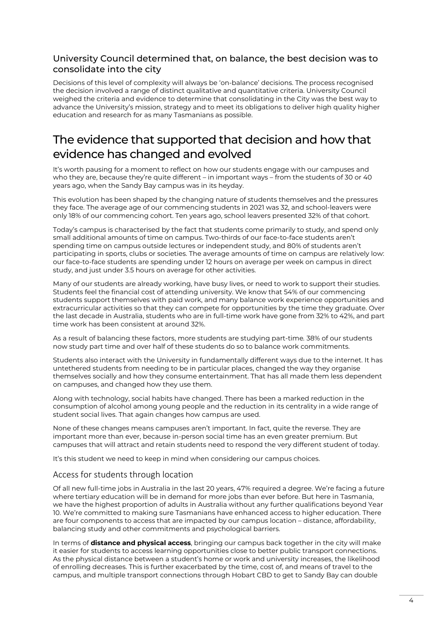#### University Council determined that, on balance, the best decision was to consolidate into the city

Decisions of this level of complexity will always be 'on-balance' decisions. The process recognised the decision involved a range of distinct qualitative and quantitative criteria. University Council weighed the criteria and evidence to determine that consolidating in the City was the best way to advance the University's mission, strategy and to meet its obligations to deliver high quality higher education and research for as many Tasmanians as possible.

# The evidence that supported that decision and how that evidence has changed and evolved

It's worth pausing for a moment to reflect on how our students engage with our campuses and who they are, because they're quite different – in important ways – from the students of 30 or 40 years ago, when the Sandy Bay campus was in its heyday.

This evolution has been shaped by the changing nature of students themselves and the pressures they face. The average age of our commencing students in 2021 was 32, and school-leavers were only 18% of our commencing cohort. Ten years ago, school leavers presented 32% of that cohort.

Today's campus is characterised by the fact that students come primarily to study, and spend only small additional amounts of time on campus. Two-thirds of our face-to-face students aren't spending time on campus outside lectures or independent study, and 80% of students aren't participating in sports, clubs or societies. The average amounts of time on campus are relatively low: our face-to-face students are spending under 12 hours on average per week on campus in direct study, and just under 3.5 hours on average for other activities.

Many of our students are already working, have busy lives, or need to work to support their studies. Students feel the financial cost of attending university. We know that 54% of our commencing students support themselves with paid work, and many balance work experience opportunities and extracurricular activities so that they can compete for opportunities by the time they graduate. Over the last decade in Australia, students who are in full-time work have gone from 32% to 42%, and part time work has been consistent at around 32%.

As a result of balancing these factors, more students are studying part-time*.* 38% of our students now study part time and over half of these students do so to balance work commitments.

Students also interact with the University in fundamentally different ways due to the internet. It has untethered students from needing to be in particular places, changed the way they organise themselves socially and how they consume entertainment. That has all made them less dependent on campuses, and changed how they use them.

Along with technology, social habits have changed. There has been a marked reduction in the consumption of alcohol among young people and the reduction in its centrality in a wide range of student social lives. That again changes how campus are used.

None of these changes means campuses aren't important. In fact, quite the reverse. They are important more than ever, because in-person social time has an even greater premium. But campuses that will attract and retain students need to respond the very different student of today.

It's this student we need to keep in mind when considering our campus choices.

#### Access for students through location

Of all new full-time jobs in Australia in the last 20 years, 47% required a degree. We're facing a future where tertiary education will be in demand for more jobs than ever before. But here in Tasmania, we have the highest proportion of adults in Australia without any further qualifications beyond Year 10. We're committed to making sure Tasmanians have enhanced access to higher education. There are four components to access that are impacted by our campus location – distance, affordability, balancing study and other commitments and psychological barriers.

In terms of **distance and physical access**, bringing our campus back together in the city will make it easier for students to access learning opportunities close to better public transport connections. As the physical distance between a student's home or work and university increases, the likelihood of enrolling decreases. This is further exacerbated by the time, cost of, and means of travel to the campus, and multiple transport connections through Hobart CBD to get to Sandy Bay can double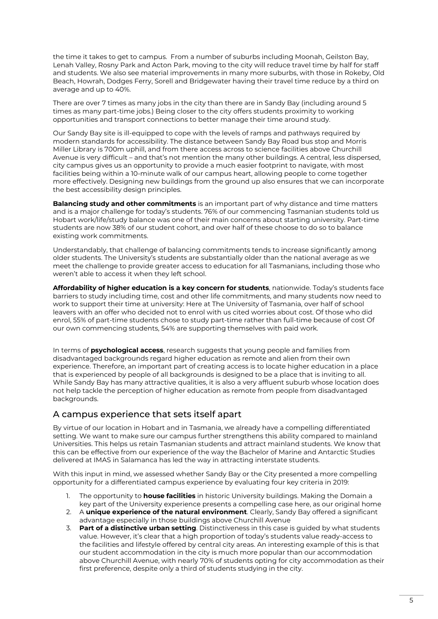the time it takes to get to campus. From a number of suburbs including Moonah, Geilston Bay, Lenah Valley, Rosny Park and Acton Park, moving to the city will reduce travel time by half for staff and students. We also see material improvements in many more suburbs, with those in Rokeby, Old Beach, Howrah, Dodges Ferry, Sorell and Bridgewater having their travel time reduce by a third on average and up to 40%.

There are over 7 times as many jobs in the city than there are in Sandy Bay (including around 5 times as many part-time jobs.) Being closer to the city offers students proximity to working opportunities and transport connections to better manage their time around study.

Our Sandy Bay site is ill-equipped to cope with the levels of ramps and pathways required by modern standards for accessibility. The distance between Sandy Bay Road bus stop and Morris Miller Library is 700m uphill, and from there access across to science facilities above Churchill Avenue is very difficult – and that's not mention the many other buildings. A central, less dispersed, city campus gives us an opportunity to provide a much easier footprint to navigate, with most facilities being within a 10-minute walk of our campus heart, allowing people to come together more effectively. Designing new buildings from the ground up also ensures that we can incorporate the best accessibility design principles.

**Balancing study and other commitments** is an important part of why distance and time matters and is a major challenge for today's students. 76% of our commencing Tasmanian students told us Hobart work/life/study balance was one of their main concerns about starting university. Part-time students are now 38% of our student cohort, and over half of these choose to do so to balance existing work commitments.

Understandably, that challenge of balancing commitments tends to increase significantly among older students. The University's students are substantially older than the national average as we meet the challenge to provide greater access to education for all Tasmanians, including those who weren't able to access it when they left school.

**Affordability of higher education is a key concern for students**, nationwide. Today's students face barriers to study including time, cost and other life commitments, and many students now need to work to support their time at university: Here at The University of Tasmania, over half of school leavers with an offer who decided not to enrol with us cited worries about cost. Of those who did enrol, 55% of part-time students chose to study part-time rather than full-time because of cost Of our own commencing students, 54% are supporting themselves with paid work.

In terms of **psychological access**, research suggests that young people and families from disadvantaged backgrounds regard higher education as remote and alien from their own experience. Therefore, an important part of creating access is to locate higher education in a place that is experienced by people of all backgrounds is designed to be a place that is inviting to all. While Sandy Bay has many attractive qualities, it is also a very affluent suburb whose location does not help tackle the perception of higher education as remote from people from disadvantaged backgrounds.

#### A campus experience that sets itself apart

By virtue of our location in Hobart and in Tasmania, we already have a compelling differentiated setting. We want to make sure our campus further strengthens this ability compared to mainland Universities. This helps us retain Tasmanian students and attract mainland students. We know that this can be effective from our experience of the way the Bachelor of Marine and Antarctic Studies delivered at IMAS in Salamanca has led the way in attracting interstate students.

With this input in mind, we assessed whether Sandy Bay or the City presented a more compelling opportunity for a differentiated campus experience by evaluating four key criteria in 2019:

- 1. The opportunity to **house facilities** in historic University buildings. Making the Domain a key part of the University experience presents a compelling case here, as our original home
- 2. A **unique experience of the natural environment**. Clearly, Sandy Bay offered a significant advantage especially in those buildings above Churchill Avenue
- 3. **Part of a distinctive urban setting**. Distinctiveness in this case is guided by what students value. However, it's clear that a high proportion of today's students value ready-access to the facilities and lifestyle offered by central city areas. An interesting example of this is that our student accommodation in the city is much more popular than our accommodation above Churchill Avenue, with nearly 70% of students opting for city accommodation as their first preference, despite only a third of students studying in the city.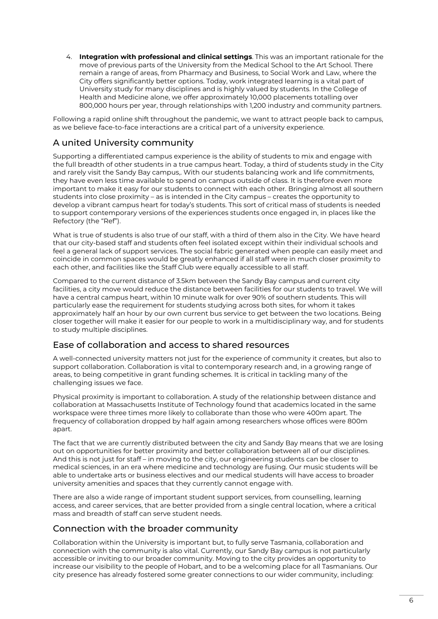4. **Integration with professional and clinical settings**. This was an important rationale for the move of previous parts of the University from the Medical School to the Art School. There remain a range of areas, from Pharmacy and Business, to Social Work and Law, where the City offers significantly better options. Today, work integrated learning is a vital part of University study for many disciplines and is highly valued by students. In the College of Health and Medicine alone, we offer approximately 10,000 placements totalling over 800,000 hours per year, through relationships with 1,200 industry and community partners.

Following a rapid online shift throughout the pandemic, we want to attract people back to campus, as we believe face-to-face interactions are a critical part of a university experience.

#### A united University community

Supporting a differentiated campus experience is the ability of students to mix and engage with the full breadth of other students in a true campus heart. Today, a third of students study in the City and rarely visit the Sandy Bay campus,. With our students balancing work and life commitments, they have even less time available to spend on campus outside of class. It is therefore even more important to make it easy for our students to connect with each other. Bringing almost all southern students into close proximity – as is intended in the City campus – creates the opportunity to develop a vibrant campus heart for today's students. This sort of critical mass of students is needed to support contemporary versions of the experiences students once engaged in, in places like the Refectory (the "Ref").

What is true of students is also true of our staff, with a third of them also in the City. We have heard that our city-based staff and students often feel isolated except within their individual schools and feel a general lack of support services. The social fabric generated when people can easily meet and coincide in common spaces would be greatly enhanced if all staff were in much closer proximity to each other, and facilities like the Staff Club were equally accessible to all staff.

Compared to the current distance of 3.5km between the Sandy Bay campus and current city facilities, a city move would reduce the distance between facilities for our students to travel. We will have a central campus heart, within 10 minute walk for over 90% of southern students. This will particularly ease the requirement for students studying across both sites, for whom it takes approximately half an hour by our own current bus service to get between the two locations. Being closer together will make it easier for our people to work in a multidisciplinary way, and for students to study multiple disciplines.

#### Ease of collaboration and access to shared resources

A well-connected university matters not just for the experience of community it creates, but also to support collaboration. Collaboration is vital to contemporary research and, in a growing range of areas, to being competitive in grant funding schemes. It is critical in tackling many of the challenging issues we face.

Physical proximity is important to collaboration. A study of the relationship between distance and collaboration at Massachusetts Institute of Technology found that academics located in the same workspace were three times more likely to collaborate than those who were 400m apart. The frequency of collaboration dropped by half again among researchers whose offices were 800m apart.

The fact that we are currently distributed between the city and Sandy Bay means that we are losing out on opportunities for better proximity and better collaboration between all of our disciplines. And this is not just for staff – in moving to the city, our engineering students can be closer to medical sciences, in an era where medicine and technology are fusing. Our music students will be able to undertake arts or business electives and our medical students will have access to broader university amenities and spaces that they currently cannot engage with.

There are also a wide range of important student support services, from counselling, learning access, and career services, that are better provided from a single central location, where a critical mass and breadth of staff can serve student needs.

#### Connection with the broader community

Collaboration within the University is important but, to fully serve Tasmania, collaboration and connection with the community is also vital. Currently, our Sandy Bay campus is not particularly accessible or inviting to our broader community. Moving to the city provides an opportunity to increase our visibility to the people of Hobart, and to be a welcoming place for all Tasmanians. Our city presence has already fostered some greater connections to our wider community, including: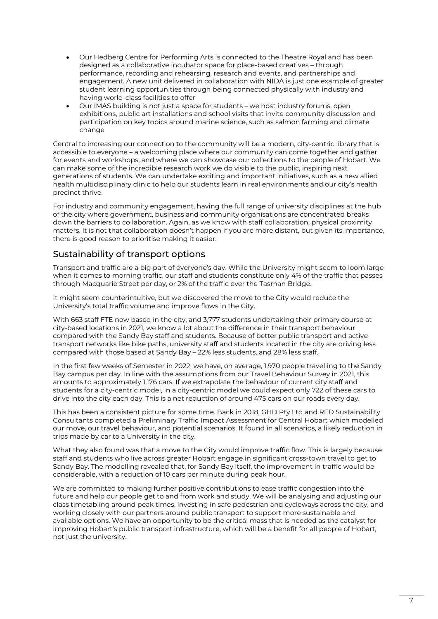- Our Hedberg Centre for Performing Arts is connected to the Theatre Royal and has been designed as a collaborative incubator space for place-based creatives – through performance, recording and rehearsing, research and events, and partnerships and engagement. A new unit delivered in collaboration with NIDA is just one example of greater student learning opportunities through being connected physically with industry and having world-class facilities to offer
- Our IMAS building is not just a space for students we host industry forums, open exhibitions, public art installations and school visits that invite community discussion and participation on key topics around marine science, such as salmon farming and climate change

Central to increasing our connection to the community will be a modern, city-centric library that is accessible to everyone – a welcoming place where our community can come together and gather for events and workshops, and where we can showcase our collections to the people of Hobart. We can make some of the incredible research work we do visible to the public, inspiring next generations of students. We can undertake exciting and important initiatives, such as a new allied health multidisciplinary clinic to help our students learn in real environments and our city's health precinct thrive.

For industry and community engagement, having the full range of university disciplines at the hub of the city where government, business and community organisations are concentrated breaks down the barriers to collaboration. Again, as we know with staff collaboration, physical proximity matters. It is not that collaboration doesn't happen if you are more distant, but given its importance, there is good reason to prioritise making it easier.

#### Sustainability of transport options

Transport and traffic are a big part of everyone's day. While the University might seem to loom large when it comes to morning traffic, our staff and students constitute only 4% of the traffic that passes through Macquarie Street per day, or 2% of the traffic over the Tasman Bridge.

It might seem counterintuitive, but we discovered the move to the City would reduce the University's total traffic volume and improve flows in the City.

With 663 staff FTE now based in the city, and 3,777 students undertaking their primary course at city-based locations in 2021, we know a lot about the difference in their transport behaviour compared with the Sandy Bay staff and students. Because of better public transport and active transport networks like bike paths, university staff and students located in the city are driving less compared with those based at Sandy Bay – 22% less students, and 28% less staff.

In the first few weeks of Semester in 2022, we have, on average, 1,970 people travelling to the Sandy Bay campus per day. In line with the assumptions from our Travel Behaviour Survey in 2021, this amounts to approximately 1,176 cars. If we extrapolate the behaviour of current city staff and students for a city-centric model, in a city-centric model we could expect only 722 of these cars to drive into the city each day. This is a net reduction of around 475 cars on our roads every day.

This has been a consistent picture for some time. Back in 2018, GHD Pty Ltd and RED Sustainability Consultants completed a Preliminary Traffic Impact Assessment for Central Hobart which modelled our move, our travel behaviour, and potential scenarios. It found in all scenarios, a likely reduction in trips made by car to a University in the city.

What they also found was that a move to the City would improve traffic flow. This is largely because staff and students who live across greater Hobart engage in significant cross-town travel to get to Sandy Bay. The modelling revealed that, for Sandy Bay itself, the improvement in traffic would be considerable, with a reduction of 10 cars per minute during peak hour.

We are committed to making further positive contributions to ease traffic congestion into the future and help our people get to and from work and study. We will be analysing and adjusting our class timetabling around peak times, investing in safe pedestrian and cycleways across the city, and working closely with our partners around public transport to support more sustainable and available options. We have an opportunity to be the critical mass that is needed as the catalyst for improving Hobart's public transport infrastructure, which will be a benefit for all people of Hobart, not just the university.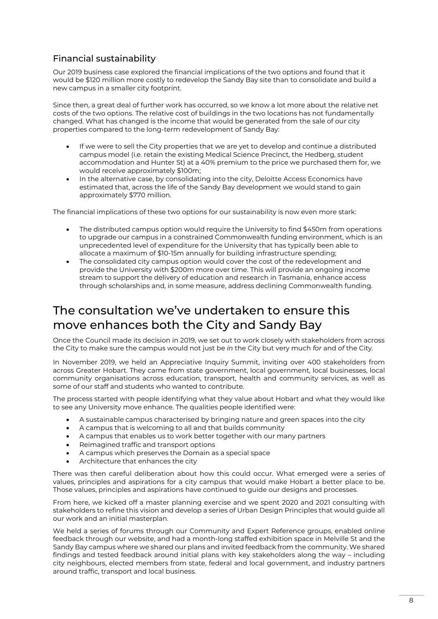#### Financial sustainability

Our 2019 business case explored the financial implications of the two options and found that it would be \$120 million more costly to redevelop the Sandy Bay site than to consolidate and build a new campus in a smaller city footprint.

Since then, a great deal of further work has occurred, so we know a lot more about the relative net costs of the two options. The relative cost of buildings in the two locations has not fundamentally changed. What has changed is the income that would be generated from the sale of our city properties compared to the long-term redevelopment of Sandy Bay:

- If we were to sell the City properties that we are yet to develop and continue a distributed campus model (i.e. retain the existing Medical Science Precinct, the Hedberg, student accommodation and Hunter St) at a 40% premium to the price we purchased them for, we would receive approximately \$100m;
- In the alternative case, by consolidating into the city, Deloitte Access Economics have estimated that, across the life of the Sandy Bay development we would stand to gain approximately \$770 million.

The financial implications of these two options for our sustainability is now even more stark:

- The distributed campus option would require the University to find \$450m from operations to upgrade our campus in a constrained Commonwealth funding environment, which is an unprecedented level of expenditure for the University that has typically been able to allocate a maximum of \$10-15m annually for building infrastructure spending;
- The consolidated city campus option would cover the cost of the redevelopment and provide the University with \$200m more over time. This will provide an ongoing income stream to support the delivery of education and research in Tasmania, enhance access through scholarships and, in some measure, address declining Commonwealth funding.

# The consultation we've undertaken to ensure this move enhances both the City and Sandy Bay

Once the Council made its decision in 2019, we set out to work closely with stakeholders from across the City to make sure the campus would not just be *in* the City but very much *for* and *of* the City.

In November 2019, we held an Appreciative Inquiry Summit, inviting over 400 stakeholders from across Greater Hobart. They came from state government, local government, local businesses, local community organisations across education, transport, health and community services, as well as some of our staff and students who wanted to contribute.

The process started with people identifying what they value about Hobart and what they would like to see any University move enhance. The qualities people identified were:

- A sustainable campus characterised by bringing nature and green spaces into the city
- A campus that is welcoming to all and that builds community
- A campus that enables us to work better together with our many partners
- Reimagined traffic and transport options
- A campus which preserves the Domain as a special space
- Architecture that enhances the city

There was then careful deliberation about how this could occur. What emerged were a series of values, principles and aspirations for a city campus that would make Hobart a better place to be. Those values, principles and aspirations have continued to guide our designs and processes.

From here, we kicked off a master planning exercise and we spent 2020 and 2021 consulting with stakeholders to refine this vision and develop a series of Urban Design Principles that would guide all our work and an initial masterplan.

We held a series of forums through our Community and Expert Reference groups, enabled online feedback through our website, and had a month-long staffed exhibition space in Melville St and the Sandy Bay campus where we shared our plans and invited feedback from the community. We shared findings and tested feedback around initial plans with key stakeholders along the way – including city neighbours, elected members from state, federal and local government, and industry partners around traffic, transport and local business.